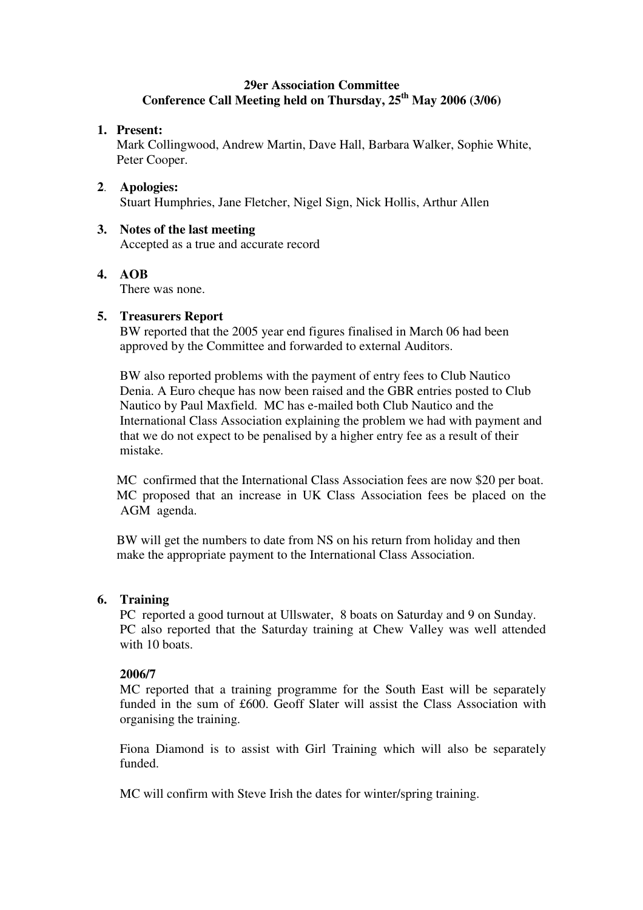## **29er Association Committee Conference Call Meeting held on Thursday, 25 th May 2006 (3/06)**

### **1. Present:**

Mark Collingwood, Andrew Martin, Dave Hall, Barbara Walker, Sophie White, Peter Cooper.

**2**. **Apologies:** Stuart Humphries, Jane Fletcher, Nigel Sign, Nick Hollis, Arthur Allen

## **3. Notes of the last meeting**

Accepted as a true and accurate record

# **4. AOB**

There was none.

### **5. Treasurers Report**

BW reported that the 2005 year end figures finalised in March 06 had been approved by the Committee and forwarded to external Auditors.

BW also reported problems with the payment of entry fees to Club Nautico Denia. A Euro cheque has now been raised and the GBR entries posted to Club Nautico by Paul Maxfield. MC has e-mailed both Club Nautico and the International Class Association explaining the problem we had with payment and that we do not expect to be penalised by a higher entry fee as a result of their mistake.

MC confirmed that the International Class Association fees are now \$20 per boat. MC proposed that an increase in UK Class Association fees be placed on the AGM agenda.

BW will get the numbers to date from NS on his return from holiday and then make the appropriate payment to the International Class Association.

### **6. Training**

PC reported a good turnout at Ullswater, 8 boats on Saturday and 9 on Sunday. PC also reported that the Saturday training at Chew Valley was well attended with 10 boats.

### **2006/7**

MC reported that a training programme for the South East will be separately funded in the sum of £600. Geoff Slater will assist the Class Association with organising the training.

Fiona Diamond is to assist with Girl Training which will also be separately funded.

MC will confirm with Steve Irish the dates for winter/spring training.